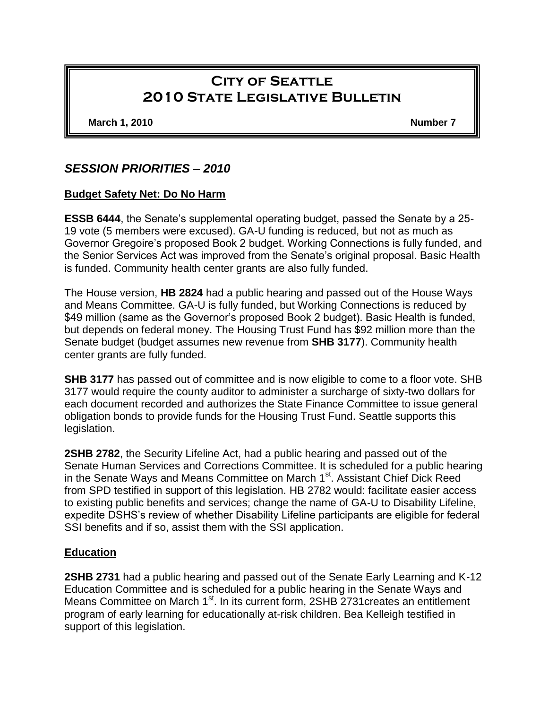# **City of Seattle 2010 State Legislative Bulletin**

**March 1, 2010 Number 7**

## *SESSION PRIORITIES – 2010*

#### **Budget Safety Net: Do No Harm**

**ESSB 6444**, the Senate's supplemental operating budget, passed the Senate by a 25- 19 vote (5 members were excused). GA-U funding is reduced, but not as much as Governor Gregoire's proposed Book 2 budget. Working Connections is fully funded, and the Senior Services Act was improved from the Senate's original proposal. Basic Health is funded. Community health center grants are also fully funded.

The House version, **HB 2824** had a public hearing and passed out of the House Ways and Means Committee. GA-U is fully funded, but Working Connections is reduced by \$49 million (same as the Governor's proposed Book 2 budget). Basic Health is funded, but depends on federal money. The Housing Trust Fund has \$92 million more than the Senate budget (budget assumes new revenue from **SHB 3177**). Community health center grants are fully funded.

**SHB 3177** has passed out of committee and is now eligible to come to a floor vote. SHB 3177 would require the county auditor to administer a surcharge of sixty-two dollars for each document recorded and authorizes the State Finance Committee to issue general obligation bonds to provide funds for the Housing Trust Fund. Seattle supports this legislation.

**2SHB 2782**, the Security Lifeline Act, had a public hearing and passed out of the Senate Human Services and Corrections Committee. It is scheduled for a public hearing in the Senate Ways and Means Committee on March 1<sup>st</sup>. Assistant Chief Dick Reed from SPD testified in support of this legislation. HB 2782 would: facilitate easier access to existing public benefits and services; change the name of GA-U to Disability Lifeline, expedite DSHS's review of whether Disability Lifeline participants are eligible for federal SSI benefits and if so, assist them with the SSI application.

#### **Education**

**2SHB 2731** had a public hearing and passed out of the Senate Early Learning and K-12 Education Committee and is scheduled for a public hearing in the Senate Ways and Means Committee on March 1<sup>st</sup>. In its current form, 2SHB 2731 creates an entitlement program of early learning for educationally at-risk children. Bea Kelleigh testified in support of this legislation.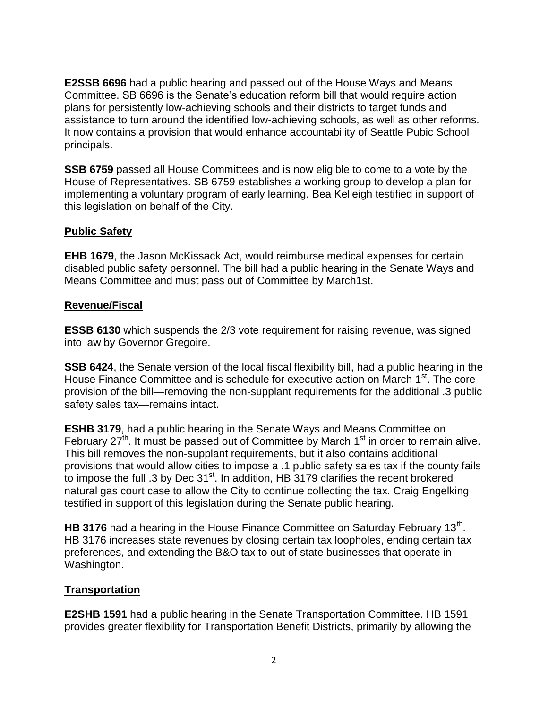**E2SSB 6696** had a public hearing and passed out of the House Ways and Means Committee. SB 6696 is the Senate's education reform bill that would require action plans for persistently low-achieving schools and their districts to target funds and assistance to turn around the identified low-achieving schools, as well as other reforms. It now contains a provision that would enhance accountability of Seattle Pubic School principals.

**SSB 6759** passed all House Committees and is now eligible to come to a vote by the House of Representatives. SB 6759 establishes a working group to develop a plan for implementing a voluntary program of early learning. Bea Kelleigh testified in support of this legislation on behalf of the City.

## **Public Safety**

**EHB 1679**, the Jason McKissack Act, would reimburse medical expenses for certain disabled public safety personnel. The bill had a public hearing in the Senate Ways and Means Committee and must pass out of Committee by March1st.

## **Revenue/Fiscal**

**ESSB 6130** which suspends the 2/3 vote requirement for raising revenue, was signed into law by Governor Gregoire.

**SSB 6424**, the Senate version of the local fiscal flexibility bill, had a public hearing in the House Finance Committee and is schedule for executive action on March 1<sup>st</sup>. The core provision of the bill—removing the non-supplant requirements for the additional .3 public safety sales tax—remains intact.

**ESHB 3179.** had a public hearing in the Senate Ways and Means Committee on February  $27<sup>th</sup>$ . It must be passed out of Committee by March 1<sup>st</sup> in order to remain alive. This bill removes the non-supplant requirements, but it also contains additional provisions that would allow cities to impose a .1 public safety sales tax if the county fails to impose the full .3 by Dec 31<sup>st</sup>. In addition, HB 3179 clarifies the recent brokered natural gas court case to allow the City to continue collecting the tax. Craig Engelking testified in support of this legislation during the Senate public hearing.

HB 3176 had a hearing in the House Finance Committee on Saturday February 13<sup>th</sup>. HB 3176 increases state revenues by closing certain tax loopholes, ending certain tax preferences, and extending the B&O tax to out of state businesses that operate in Washington.

## **Transportation**

**E2SHB 1591** had a public hearing in the Senate Transportation Committee. HB 1591 provides greater flexibility for Transportation Benefit Districts, primarily by allowing the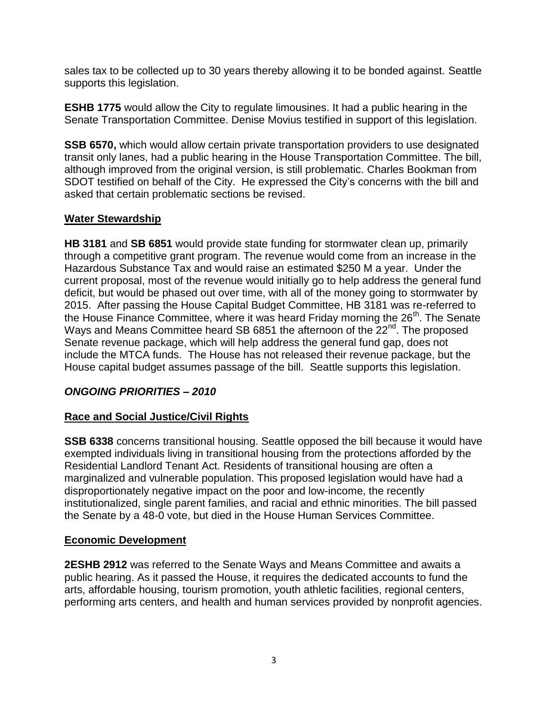sales tax to be collected up to 30 years thereby allowing it to be bonded against. Seattle supports this legislation.

**ESHB 1775** would allow the City to regulate limousines. It had a public hearing in the Senate Transportation Committee. Denise Movius testified in support of this legislation.

**SSB 6570,** which would allow certain private transportation providers to use designated transit only lanes, had a public hearing in the House Transportation Committee. The bill, although improved from the original version, is still problematic. Charles Bookman from SDOT testified on behalf of the City. He expressed the City's concerns with the bill and asked that certain problematic sections be revised.

## **Water Stewardship**

**HB 3181** and **SB 6851** would provide state funding for stormwater clean up, primarily through a competitive grant program. The revenue would come from an increase in the Hazardous Substance Tax and would raise an estimated \$250 M a year. Under the current proposal, most of the revenue would initially go to help address the general fund deficit, but would be phased out over time, with all of the money going to stormwater by 2015. After passing the House Capital Budget Committee, HB 3181 was re-referred to the House Finance Committee, where it was heard Friday morning the  $26<sup>th</sup>$ . The Senate Ways and Means Committee heard SB 6851 the afternoon of the 22<sup>nd</sup>. The proposed Senate revenue package, which will help address the general fund gap, does not include the MTCA funds. The House has not released their revenue package, but the House capital budget assumes passage of the bill. Seattle supports this legislation.

## *ONGOING PRIORITIES – 2010*

## **Race and Social Justice/Civil Rights**

**SSB 6338** concerns transitional housing. Seattle opposed the bill because it would have exempted individuals living in transitional housing from the protections afforded by the Residential Landlord Tenant Act. Residents of transitional housing are often a marginalized and vulnerable population. This proposed legislation would have had a disproportionately negative impact on the poor and low-income, the recently institutionalized, single parent families, and racial and ethnic minorities. The bill passed the Senate by a 48-0 vote, but died in the House Human Services Committee.

#### **Economic Development**

**2ESHB 2912** was referred to the Senate Ways and Means Committee and awaits a public hearing. As it passed the House, it requires the dedicated accounts to fund the arts, affordable housing, tourism promotion, youth athletic facilities, regional centers, performing arts centers, and health and human services provided by nonprofit agencies.